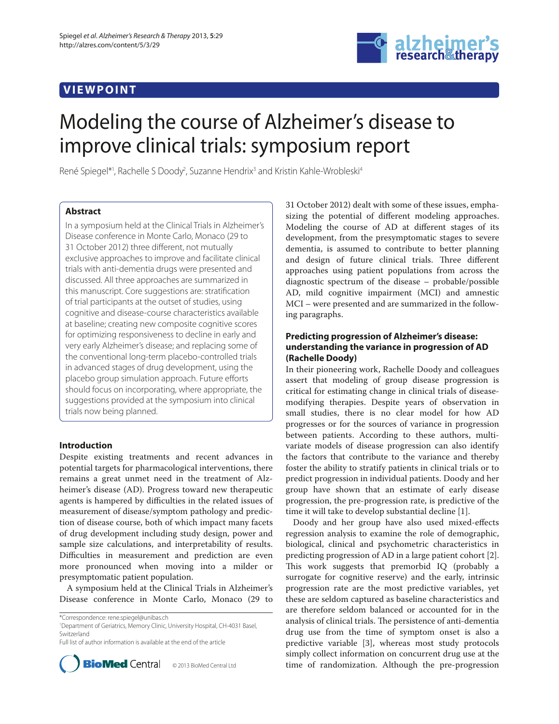## **VIEWPOINT**



# Modeling the course of Alzheimer's disease to improve clinical trials: symposium report

René Spiegel\*<sup>1</sup>, Rachelle S Doody<sup>2</sup>, Suzanne Hendrix<sup>3</sup> and Kristin Kahle-Wrobleski<sup>4</sup>

## **Abstract**

In a symposium held at the Clinical Trials in Alzheimer's Disease conference in Monte Carlo, Monaco (29 to 31 October 2012) three different, not mutually exclusive approaches to improve and facilitate clinical trials with anti-dementia drugs were presented and discussed. All three approaches are summarized in this manuscript. Core suggestions are: stratification of trial participants at the outset of studies, using cognitive and disease-course characteristics available at baseline; creating new composite cognitive scores for optimizing responsiveness to decline in early and very early Alzheimer's disease; and replacing some of the conventional long-term placebo-controlled trials in advanced stages of drug development, using the placebo group simulation approach. Future efforts should focus on incorporating, where appropriate, the suggestions provided at the symposium into clinical trials now being planned.

## **Introduction**

Despite existing treatments and recent advances in potential targets for pharmacological interventions, there remains a great unmet need in the treatment of Alzheimer's disease (AD). Progress toward new therapeutic agents is hampered by difficulties in the related issues of measurement of disease/symptom pathology and prediction of disease course, both of which impact many facets of drug development including study design, power and sample size calculations, and interpretability of results. Difficulties in measurement and prediction are even more pronounced when moving into a milder or presymptomatic patient population.

A symposium held at the Clinical Trials in Alzheimer's Disease conference in Monte Carlo, Monaco (29 to

\*Correspondence: rene.spiegel@unibas.ch

<sup>1</sup>Department of Geriatrics, Memory Clinic, University Hospital, CH-4031 Basel, Switzerland

Full list of author information is available at the end of the article



31 October 2012) dealt with some of these issues, emphasizing the potential of different modeling approaches. Modeling the course of AD at different stages of its development, from the presymptomatic stages to severe dementia, is assumed to contribute to better planning and design of future clinical trials. Three different approaches using patient populations from across the diagnostic spectrum of the disease – probable/possible AD, mild cognitive impairment (MCI) and amnestic MCI – were presented and are summarized in the following paragraphs.

## **Predicting progression of Alzheimer's disease: understanding the variance in progression of AD (Rachelle Doody)**

In their pioneering work, Rachelle Doody and colleagues assert that modeling of group disease progression is critical for estimating change in clinical trials of diseasemodifying therapies. Despite years of observation in small studies, there is no clear model for how AD progresses or for the sources of variance in progression between patients. According to these authors, multivariate models of disease progression can also identify the factors that contribute to the variance and thereby foster the ability to stratify patients in clinical trials or to predict progression in individual patients. Doody and her group have shown that an estimate of early disease progression, the pre-progression rate, is predictive of the time it will take to develop substantial decline [1].

Doody and her group have also used mixed-effects regression analysis to examine the role of demographic, biological, clinical and psychometric characteristics in predicting progression of AD in a large patient cohort [2]. This work suggests that premorbid IQ (probably a surrogate for cognitive reserve) and the early, intrinsic progression rate are the most predictive variables, yet these are seldom captured as baseline characteristics and are therefore seldom balanced or accounted for in the analysis of clinical trials. The persistence of anti-dementia drug use from the time of symptom onset is also a predictive variable [3], whereas most study protocols simply collect information on concurrent drug use at the time of randomization. Although the pre-progression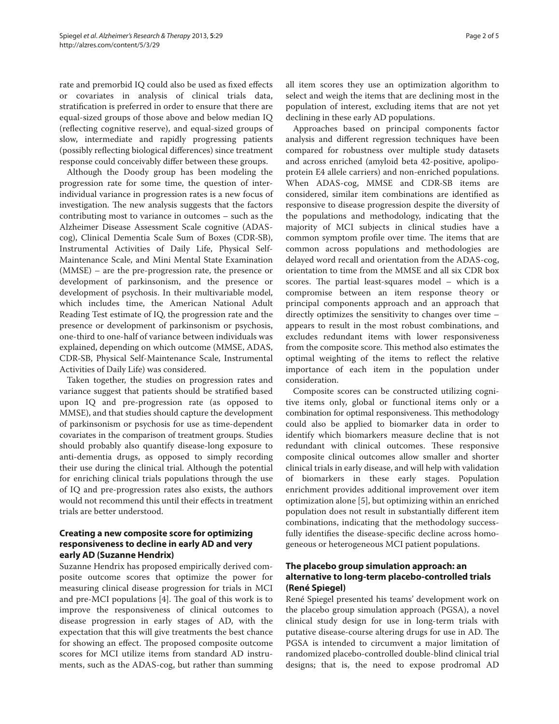rate and premorbid IQ could also be used as fixed effects or covariates in analysis of clinical trials data, stratification is preferred in order to ensure that there are equal-sized groups of those above and below median IQ (reflecting cognitive reserve), and equal-sized groups of slow, intermediate and rapidly progressing patients (possibly reflecting biological differences) since treatment response could conceivably differ between these groups.

Although the Doody group has been modeling the progression rate for some time, the question of interindividual variance in progression rates is a new focus of investigation. The new analysis suggests that the factors contributing most to variance in outcomes – such as the Alzheimer Disease Assessment Scale cognitive (ADAScog), Clinical Dementia Scale Sum of Boxes (CDR-SB), Instrumental Activities of Daily Life, Physical Self-Maintenance Scale, and Mini Mental State Examination (MMSE) – are the pre-progression rate, the presence or development of parkinsonism, and the presence or development of psychosis. In their multivariable model, which includes time, the American National Adult Reading Test estimate of IQ, the progression rate and the presence or development of parkinsonism or psychosis, one-third to one-half of variance between individuals was explained, depending on which outcome (MMSE, ADAS, CDR-SB, Physical Self-Maintenance Scale, Instrumental Activities of Daily Life) was considered.

Taken together, the studies on progression rates and variance suggest that patients should be stratified based upon IQ and pre-progression rate (as opposed to MMSE), and that studies should capture the development of parkinsonism or psychosis for use as time-dependent covariates in the comparison of treatment groups. Studies should probably also quantify disease-long exposure to anti-dementia drugs, as opposed to simply recording their use during the clinical trial. Although the potential for enriching clinical trials populations through the use of IQ and pre-progression rates also exists, the authors would not recommend this until their effects in treatment trials are better understood.

## **Creating a new composite score for optimizing responsiveness to decline in early AD and very early AD (Suzanne Hendrix)**

Suzanne Hendrix has proposed empirically derived composite outcome scores that optimize the power for measuring clinical disease progression for trials in MCI and pre-MCI populations  $[4]$ . The goal of this work is to improve the responsiveness of clinical outcomes to disease progression in early stages of AD, with the expectation that this will give treatments the best chance for showing an effect. The proposed composite outcome scores for MCI utilize items from standard AD instruments, such as the ADAS-cog, but rather than summing all item scores they use an optimization algorithm to select and weigh the items that are declining most in the population of interest, excluding items that are not yet declining in these early AD populations.

Approaches based on principal components factor analysis and different regression techniques have been compared for robustness over multiple study datasets and across enriched (amyloid beta 42-positive, apolipoprotein E4 allele carriers) and non-enriched populations. When ADAS-cog, MMSE and CDR-SB items are considered, similar item combinations are identified as responsive to disease progression despite the diversity of the populations and methodology, indicating that the majority of MCI subjects in clinical studies have a common symptom profile over time. The items that are common across populations and methodologies are delayed word recall and orientation from the ADAS-cog, orientation to time from the MMSE and all six CDR box scores. The partial least-squares model  $-$  which is a compromise between an item response theory or principal components approach and an approach that directly optimizes the sensitivity to changes over time – appears to result in the most robust combinations, and excludes redundant items with lower responsiveness from the composite score. This method also estimates the optimal weighting of the items to reflect the relative importance of each item in the population under consideration.

Composite scores can be constructed utilizing cognitive items only, global or functional items only or a combination for optimal responsiveness. This methodology could also be applied to biomarker data in order to identify which biomarkers measure decline that is not redundant with clinical outcomes. These responsive composite clinical outcomes allow smaller and shorter clinical trials in early disease, and will help with validation of biomarkers in these early stages. Population enrichment provides additional improvement over item optimization alone [5], but optimizing within an enriched population does not result in substantially different item combinations, indicating that the methodology successfully identifies the disease-specific decline across homogeneous or heterogeneous MCI patient populations.

## **The placebo group simulation approach: an alternative to long-term placebo-controlled trials (René Spiegel)**

René Spiegel presented his teams' development work on the placebo group simulation approach (PGSA), a novel clinical study design for use in long-term trials with putative disease-course altering drugs for use in AD. The PGSA is intended to circumvent a major limitation of randomized placebo-controlled double-blind clinical trial designs; that is, the need to expose prodromal AD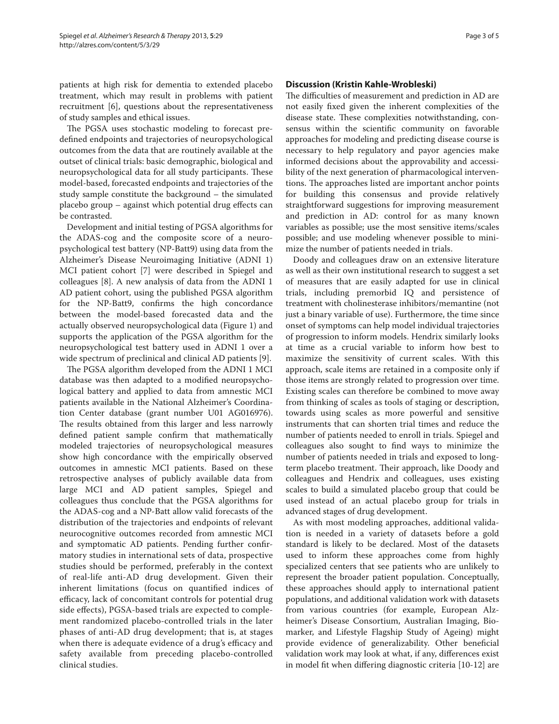patients at high risk for dementia to extended placebo treatment, which may result in problems with patient recruitment [6], questions about the representativeness of study samples and ethical issues.

The PGSA uses stochastic modeling to forecast predefined endpoints and trajectories of neuropsychological outcomes from the data that are routinely available at the outset of clinical trials: basic demographic, biological and neuropsychological data for all study participants. These model-based, forecasted endpoints and trajectories of the study sample constitute the background – the simulated placebo group – against which potential drug effects can be contrasted.

Development and initial testing of PGSA algorithms for the ADAS-cog and the composite score of a neuropsychological test battery (NP-Batt9) using data from the Alzheimer's Disease Neuroimaging Initiative (ADNI 1) MCI patient cohort [7] were described in Spiegel and colleagues [8]. A new analysis of data from the ADNI 1 AD patient cohort, using the published PGSA algorithm for the NP-Batt9, confirms the high concordance between the model-based forecasted data and the actually observed neuropsychological data (Figure 1) and supports the application of the PGSA algorithm for the neuropsychological test battery used in ADNI 1 over a wide spectrum of preclinical and clinical AD patients [9].

The PGSA algorithm developed from the ADNI 1 MCI database was then adapted to a modified neuropsychological battery and applied to data from amnestic MCI patients available in the National Alzheimer's Coordination Center database (grant number U01 AG016976). The results obtained from this larger and less narrowly defined patient sample confirm that mathematically modeled trajectories of neuropsychological measures show high concordance with the empirically observed outcomes in amnestic MCI patients. Based on these retrospective analyses of publicly available data from large MCI and AD patient samples, Spiegel and colleagues thus conclude that the PGSA algorithms for the ADAS-cog and a NP-Batt allow valid forecasts of the distribution of the trajectories and endpoints of relevant neurocognitive outcomes recorded from amnestic MCI and symptomatic AD patients. Pending further confirmatory studies in international sets of data, prospective studies should be performed, preferably in the context of real-life anti-AD drug development. Given their inherent limitations (focus on quantified indices of efficacy, lack of concomitant controls for potential drug side effects), PGSA-based trials are expected to complement randomized placebo-controlled trials in the later phases of anti-AD drug development; that is, at stages when there is adequate evidence of a drug's efficacy and safety available from preceding placebo-controlled clinical studies.

### **Discussion (Kristin Kahle-Wrobleski)**

The difficulties of measurement and prediction in AD are not easily fixed given the inherent complexities of the disease state. These complexities notwithstanding, consensus within the scientific community on favorable approaches for modeling and predicting disease course is necessary to help regulatory and payor agencies make informed decisions about the approvability and accessibility of the next generation of pharmacological interventions. The approaches listed are important anchor points for building this consensus and provide relatively straightforward suggestions for improving measurement and prediction in AD: control for as many known variables as possible; use the most sensitive items/scales possible; and use modeling whenever possible to minimize the number of patients needed in trials.

Doody and colleagues draw on an extensive literature as well as their own institutional research to suggest a set of measures that are easily adapted for use in clinical trials, including premorbid IQ and persistence of treatment with cholinesterase inhibitors/memantine (not just a binary variable of use). Furthermore, the time since onset of symptoms can help model individual trajectories of progression to inform models. Hendrix similarly looks at time as a crucial variable to inform how best to maximize the sensitivity of current scales. With this approach, scale items are retained in a composite only if those items are strongly related to progression over time. Existing scales can therefore be combined to move away from thinking of scales as tools of staging or description, towards using scales as more powerful and sensitive instruments that can shorten trial times and reduce the number of patients needed to enroll in trials. Spiegel and colleagues also sought to find ways to minimize the number of patients needed in trials and exposed to longterm placebo treatment. Their approach, like Doody and colleagues and Hendrix and colleagues, uses existing scales to build a simulated placebo group that could be used instead of an actual placebo group for trials in advanced stages of drug development.

As with most modeling approaches, additional validation is needed in a variety of datasets before a gold standard is likely to be declared. Most of the datasets used to inform these approaches come from highly specialized centers that see patients who are unlikely to represent the broader patient population. Conceptually, these approaches should apply to international patient populations, and additional validation work with datasets from various countries (for example, European Alzheimer's Disease Consortium, Australian Imaging, Biomarker, and Lifestyle Flagship Study of Ageing) might provide evidence of generalizability. Other beneficial validation work may look at what, if any, differences exist in model fit when differing diagnostic criteria [10-12] are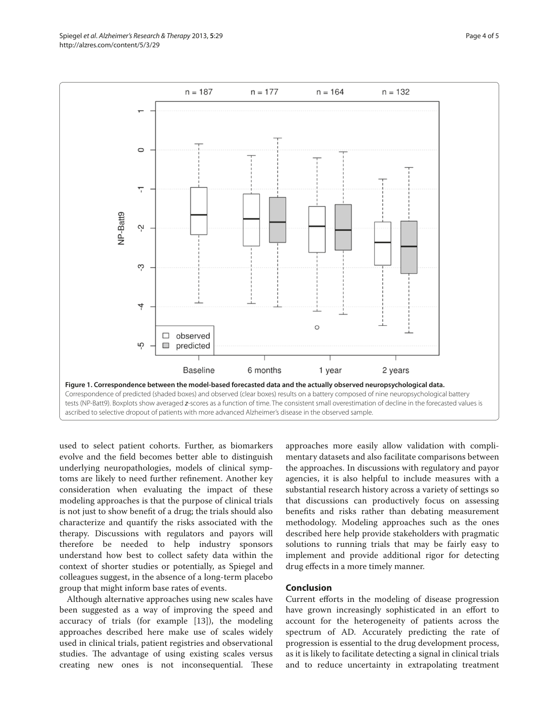used to select patient cohorts. Further, as biomarkers evolve and the field becomes better able to distinguish underlying neuropathologies, models of clinical symptoms are likely to need further refinement. Another key consideration when evaluating the impact of these modeling approaches is that the purpose of clinical trials is not just to show benefit of a drug; the trials should also characterize and quantify the risks associated with the therapy. Discussions with regulators and payors will therefore be needed to help industry sponsors understand how best to collect safety data within the context of shorter studies or potentially, as Spiegel and colleagues suggest, in the absence of a long-term placebo group that might inform base rates of events.

Although alternative approaches using new scales have been suggested as a way of improving the speed and accuracy of trials (for example [13]), the modeling approaches described here make use of scales widely used in clinical trials, patient registries and observational studies. The advantage of using existing scales versus creating new ones is not inconsequential. These

approaches more easily allow validation with complimentary datasets and also facilitate comparisons between the approaches. In discussions with regulatory and payor agencies, it is also helpful to include measures with a substantial research history across a variety of settings so that discussions can productively focus on assessing benefits and risks rather than debating measurement methodology. Modeling approaches such as the ones described here help provide stakeholders with pragmatic solutions to running trials that may be fairly easy to implement and provide additional rigor for detecting drug effects in a more timely manner.

#### **Conclusion**

Current efforts in the modeling of disease progression have grown increasingly sophisticated in an effort to account for the heterogeneity of patients across the spectrum of AD. Accurately predicting the rate of progression is essential to the drug development process, as it is likely to facilitate detecting a signal in clinical trials and to reduce uncertainty in extrapolating treatment